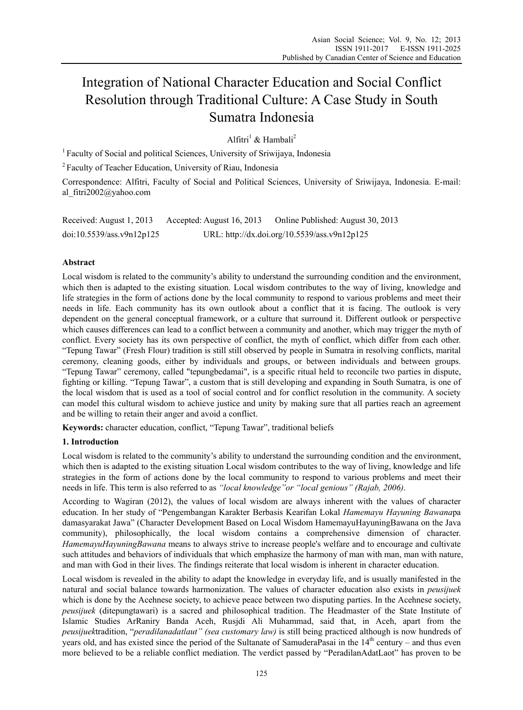# Integration of National Character Education and Social Conflict Resolution through Traditional Culture: A Case Study in South Sumatra Indonesia

Alfitri<sup>1</sup> & Hambali<sup>2</sup>

1 Faculty of Social and political Sciences, University of Sriwijaya, Indonesia

2 Faculty of Teacher Education, University of Riau, Indonesia

Correspondence: Alfitri, Faculty of Social and Political Sciences, University of Sriwijaya, Indonesia. E-mail: al\_fitri2002@yahoo.com

Received: August 1, 2013 Accepted: August 16, 2013 Online Published: August 30, 2013 doi:10.5539/ass.v9n12p125 URL: http://dx.doi.org/10.5539/ass.v9n12p125

## **Abstract**

Local wisdom is related to the community's ability to understand the surrounding condition and the environment, which then is adapted to the existing situation. Local wisdom contributes to the way of living, knowledge and life strategies in the form of actions done by the local community to respond to various problems and meet their needs in life. Each community has its own outlook about a conflict that it is facing. The outlook is very dependent on the general conceptual framework, or a culture that surround it. Different outlook or perspective which causes differences can lead to a conflict between a community and another, which may trigger the myth of conflict. Every society has its own perspective of conflict, the myth of conflict, which differ from each other. "Tepung Tawar" (Fresh Flour) tradition is still still observed by people in Sumatra in resolving conflicts, marital ceremony, cleaning goods, either by individuals and groups, or between individuals and between groups. "Tepung Tawar" ceremony, called "tepungbedamai", is a specific ritual held to reconcile two parties in dispute, fighting or killing. "Tepung Tawar", a custom that is still developing and expanding in South Sumatra, is one of the local wisdom that is used as a tool of social control and for conflict resolution in the community. A society can model this cultural wisdom to achieve justice and unity by making sure that all parties reach an agreement and be willing to retain their anger and avoid a conflict.

**Keywords:** character education, conflict, "Tepung Tawar", traditional beliefs

# **1. Introduction**

Local wisdom is related to the community's ability to understand the surrounding condition and the environment, which then is adapted to the existing situation Local wisdom contributes to the way of living, knowledge and life strategies in the form of actions done by the local community to respond to various problems and meet their needs in life. This term is also referred to as *"local knowledge"or "local genious" (Rajab, 2006)*.

According to Wagiran (2012), the values of local wisdom are always inherent with the values of character education. In her study of "Pengembangan Karakter Berbasis Kearifan Lokal *Hamemayu Hayuning Bawana*pa damasyarakat Jawa" (Character Development Based on Local Wisdom HamemayuHayuningBawana on the Java community), philosophically, the local wisdom contains a comprehensive dimension of character. *HamemayuHayuningBawana* means to always strive to increase people's welfare and to encourage and cultivate such attitudes and behaviors of individuals that which emphasize the harmony of man with man, man with nature, and man with God in their lives. The findings reiterate that local wisdom is inherent in character education.

Local wisdom is revealed in the ability to adapt the knowledge in everyday life, and is usually manifested in the natural and social balance towards harmonization. The values of character education also exists in *peusijuek*  which is done by the Acehnese society, to achieve peace between two disputing parties. In the Acehnese society, *peusijuek* (ditepungtawari) is a sacred and philosophical tradition. The Headmaster of the State Institute of Islamic Studies ArRaniry Banda Aceh, Rusjdi Ali Muhammad, said that, in Aceh, apart from the *peusijuek*tradition, "*peradilanadatlaut" (sea customary law)* is still being practiced although is now hundreds of years old, and has existed since the period of the Sultanate of SamuderaPasai in the  $14<sup>th</sup>$  century – and thus even more believed to be a reliable conflict mediation. The verdict passed by "PeradilanAdatLaot" has proven to be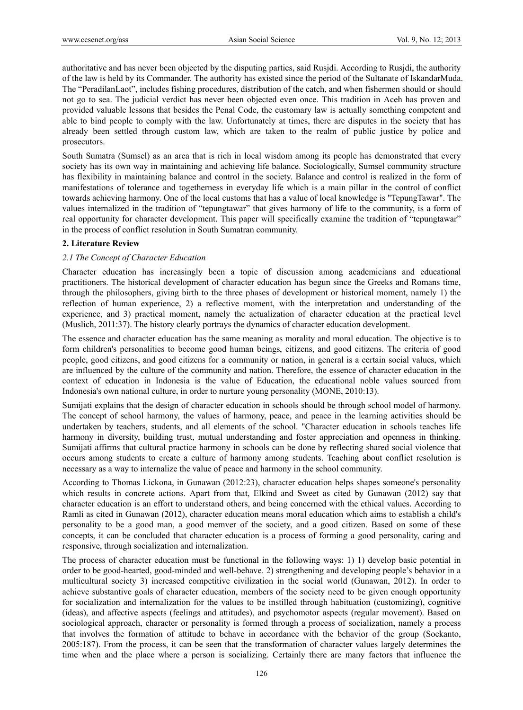authoritative and has never been objected by the disputing parties, said Rusjdi. According to Rusjdi, the authority of the law is held by its Commander. The authority has existed since the period of the Sultanate of IskandarMuda. The "PeradilanLaot", includes fishing procedures, distribution of the catch, and when fishermen should or should not go to sea. The judicial verdict has never been objected even once. This tradition in Aceh has proven and provided valuable lessons that besides the Penal Code, the customary law is actually something competent and able to bind people to comply with the law. Unfortunately at times, there are disputes in the society that has already been settled through custom law, which are taken to the realm of public justice by police and prosecutors.

South Sumatra (Sumsel) as an area that is rich in local wisdom among its people has demonstrated that every society has its own way in maintaining and achieving life balance. Sociologically, Sumsel community structure has flexibility in maintaining balance and control in the society. Balance and control is realized in the form of manifestations of tolerance and togetherness in everyday life which is a main pillar in the control of conflict towards achieving harmony. One of the local customs that has a value of local knowledge is "TepungTawar". The values internalized in the tradition of "tepungtawar" that gives harmony of life to the community, is a form of real opportunity for character development. This paper will specifically examine the tradition of "tepungtawar" in the process of conflict resolution in South Sumatran community.

## **2. Literature Review**

## *2.1 The Concept of Character Education*

Character education has increasingly been a topic of discussion among academicians and educational practitioners. The historical development of character education has begun since the Greeks and Romans time, through the philosophers, giving birth to the three phases of development or historical moment, namely 1) the reflection of human experience, 2) a reflective moment, with the interpretation and understanding of the experience, and 3) practical moment, namely the actualization of character education at the practical level (Muslich, 2011:37). The history clearly portrays the dynamics of character education development.

The essence and character education has the same meaning as morality and moral education. The objective is to form children's personalities to become good human beings, citizens, and good citizens. The criteria of good people, good citizens, and good citizens for a community or nation, in general is a certain social values, which are influenced by the culture of the community and nation. Therefore, the essence of character education in the context of education in Indonesia is the value of Education, the educational noble values sourced from Indonesia's own national culture, in order to nurture young personality (MONE, 2010:13).

Sumijati explains that the design of character education in schools should be through school model of harmony. The concept of school harmony, the values of harmony, peace, and peace in the learning activities should be undertaken by teachers, students, and all elements of the school. "Character education in schools teaches life harmony in diversity, building trust, mutual understanding and foster appreciation and openness in thinking. Sumijati affirms that cultural practice harmony in schools can be done by reflecting shared social violence that occurs among students to create a culture of harmony among students. Teaching about conflict resolution is necessary as a way to internalize the value of peace and harmony in the school community.

According to Thomas Lickona, in Gunawan (2012:23), character education helps shapes someone's personality which results in concrete actions. Apart from that, Elkind and Sweet as cited by Gunawan (2012) say that character education is an effort to understand others, and being concerned with the ethical values. According to Ramli as cited in Gunawan (2012), character education means moral education which aims to establish a child's personality to be a good man, a good memver of the society, and a good citizen. Based on some of these concepts, it can be concluded that character education is a process of forming a good personality, caring and responsive, through socialization and internalization.

The process of character education must be functional in the following ways: 1) 1) develop basic potential in order to be good-hearted, good-minded and well-behave. 2) strengthening and developing people's behavior in a multicultural society 3) increased competitive civilization in the social world (Gunawan, 2012). In order to achieve substantive goals of character education, members of the society need to be given enough opportunity for socialization and internalization for the values to be instilled through habituation (customizing), cognitive (ideas), and affective aspects (feelings and attitudes), and psychomotor aspects (regular movement). Based on sociological approach, character or personality is formed through a process of socialization, namely a process that involves the formation of attitude to behave in accordance with the behavior of the group (Soekanto, 2005:187). From the process, it can be seen that the transformation of character values largely determines the time when and the place where a person is socializing. Certainly there are many factors that influence the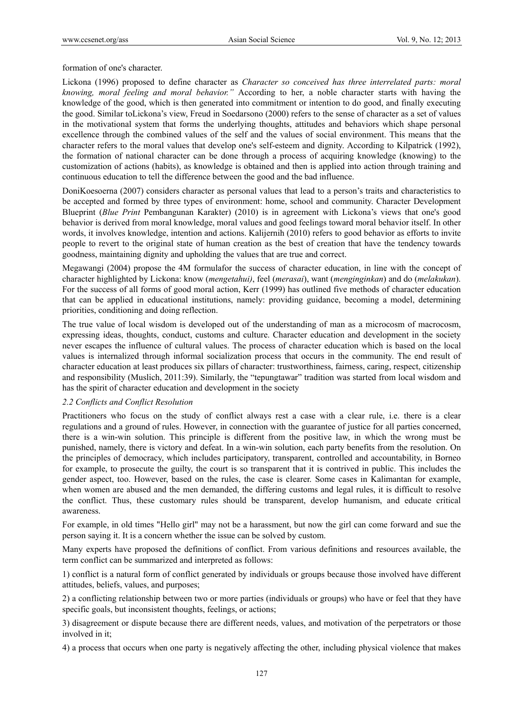formation of one's character.

Lickona (1996) proposed to define character as *Character so conceived has three interrelated parts: moral knowing, moral feeling and moral behavior."* According to her, a noble character starts with having the knowledge of the good, which is then generated into commitment or intention to do good, and finally executing the good. Similar toLickona's view, Freud in Soedarsono (2000) refers to the sense of character as a set of values in the motivational system that forms the underlying thoughts, attitudes and behaviors which shape personal excellence through the combined values of the self and the values of social environment. This means that the character refers to the moral values that develop one's self-esteem and dignity. According to Kilpatrick (1992), the formation of national character can be done through a process of acquiring knowledge (knowing) to the customization of actions (habits), as knowledge is obtained and then is applied into action through training and continuous education to tell the difference between the good and the bad influence.

DoniKoesoerna (2007) considers character as personal values that lead to a person's traits and characteristics to be accepted and formed by three types of environment: home, school and community. Character Development Blueprint (*Blue Print* Pembangunan Karakter) (2010) is in agreement with Lickona's views that one's good behavior is derived from moral knowledge, moral values and good feelings toward moral behavior itself. In other words, it involves knowledge, intention and actions. Kalijernih (2010) refers to good behavior as efforts to invite people to revert to the original state of human creation as the best of creation that have the tendency towards goodness, maintaining dignity and upholding the values that are true and correct.

Megawangi (2004) propose the 4M formulafor the success of character education, in line with the concept of character highlighted by Lickona: know (*mengetahui)*, feel (*merasai*), want (*menginginkan*) and do (*melakukan*). For the success of all forms of good moral action, Kerr (1999) has outlined five methods of character education that can be applied in educational institutions, namely: providing guidance, becoming a model, determining priorities, conditioning and doing reflection.

The true value of local wisdom is developed out of the understanding of man as a microcosm of macrocosm, expressing ideas, thoughts, conduct, customs and culture. Character education and development in the society never escapes the influence of cultural values. The process of character education which is based on the local values is internalized through informal socialization process that occurs in the community. The end result of character education at least produces six pillars of character: trustworthiness, fairness, caring, respect, citizenship and responsibility (Muslich, 2011:39). Similarly, the "tepungtawar" tradition was started from local wisdom and has the spirit of character education and development in the society

#### *2.2 Conflicts and Conflict Resolution*

Practitioners who focus on the study of conflict always rest a case with a clear rule, i.e. there is a clear regulations and a ground of rules. However, in connection with the guarantee of justice for all parties concerned, there is a win-win solution. This principle is different from the positive law, in which the wrong must be punished, namely, there is victory and defeat. In a win-win solution, each party benefits from the resolution. On the principles of democracy, which includes participatory, transparent, controlled and accountability, in Borneo for example, to prosecute the guilty, the court is so transparent that it is contrived in public. This includes the gender aspect, too. However, based on the rules, the case is clearer. Some cases in Kalimantan for example, when women are abused and the men demanded, the differing customs and legal rules, it is difficult to resolve the conflict. Thus, these customary rules should be transparent, develop humanism, and educate critical awareness.

For example, in old times "Hello girl" may not be a harassment, but now the girl can come forward and sue the person saying it. It is a concern whether the issue can be solved by custom.

Many experts have proposed the definitions of conflict. From various definitions and resources available, the term conflict can be summarized and interpreted as follows:

1) conflict is a natural form of conflict generated by individuals or groups because those involved have different attitudes, beliefs, values, and purposes;

2) a conflicting relationship between two or more parties (individuals or groups) who have or feel that they have specific goals, but inconsistent thoughts, feelings, or actions;

3) disagreement or dispute because there are different needs, values, and motivation of the perpetrators or those involved in it;

4) a process that occurs when one party is negatively affecting the other, including physical violence that makes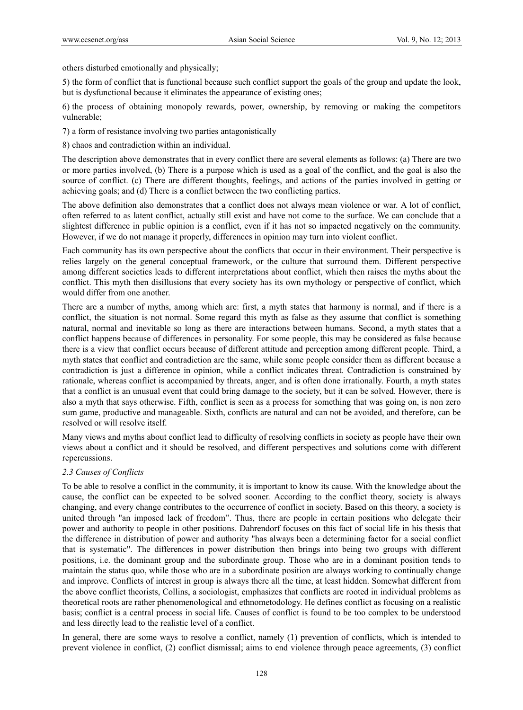others disturbed emotionally and physically;

5) the form of conflict that is functional because such conflict support the goals of the group and update the look, but is dysfunctional because it eliminates the appearance of existing ones;

6) the process of obtaining monopoly rewards, power, ownership, by removing or making the competitors vulnerable;

7) a form of resistance involving two parties antagonistically

8) chaos and contradiction within an individual.

The description above demonstrates that in every conflict there are several elements as follows: (a) There are two or more parties involved, (b) There is a purpose which is used as a goal of the conflict, and the goal is also the source of conflict. (c) There are different thoughts, feelings, and actions of the parties involved in getting or achieving goals; and (d) There is a conflict between the two conflicting parties.

The above definition also demonstrates that a conflict does not always mean violence or war. A lot of conflict, often referred to as latent conflict, actually still exist and have not come to the surface. We can conclude that a slightest difference in public opinion is a conflict, even if it has not so impacted negatively on the community. However, if we do not manage it properly, differences in opinion may turn into violent conflict.

Each community has its own perspective about the conflicts that occur in their environment. Their perspective is relies largely on the general conceptual framework, or the culture that surround them. Different perspective among different societies leads to different interpretations about conflict, which then raises the myths about the conflict. This myth then disillusions that every society has its own mythology or perspective of conflict, which would differ from one another.

There are a number of myths, among which are: first, a myth states that harmony is normal, and if there is a conflict, the situation is not normal. Some regard this myth as false as they assume that conflict is something natural, normal and inevitable so long as there are interactions between humans. Second, a myth states that a conflict happens because of differences in personality. For some people, this may be considered as false because there is a view that conflict occurs because of different attitude and perception among different people. Third, a myth states that conflict and contradiction are the same, while some people consider them as different because a contradiction is just a difference in opinion, while a conflict indicates threat. Contradiction is constrained by rationale, whereas conflict is accompanied by threats, anger, and is often done irrationally. Fourth, a myth states that a conflict is an unusual event that could bring damage to the society, but it can be solved. However, there is also a myth that says otherwise. Fifth, conflict is seen as a process for something that was going on, is non zero sum game, productive and manageable. Sixth, conflicts are natural and can not be avoided, and therefore, can be resolved or will resolve itself.

Many views and myths about conflict lead to difficulty of resolving conflicts in society as people have their own views about a conflict and it should be resolved, and different perspectives and solutions come with different repercussions.

## *2.3 Causes of Conflicts*

To be able to resolve a conflict in the community, it is important to know its cause. With the knowledge about the cause, the conflict can be expected to be solved sooner. According to the conflict theory, society is always changing, and every change contributes to the occurrence of conflict in society. Based on this theory, a society is united through "an imposed lack of freedom". Thus, there are people in certain positions who delegate their power and authority to people in other positions. Dahrendorf focuses on this fact of social life in his thesis that the difference in distribution of power and authority "has always been a determining factor for a social conflict that is systematic". The differences in power distribution then brings into being two groups with different positions, i.e. the dominant group and the subordinate group. Those who are in a dominant position tends to maintain the status quo, while those who are in a subordinate position are always working to continually change and improve. Conflicts of interest in group is always there all the time, at least hidden. Somewhat different from the above conflict theorists, Collins, a sociologist, emphasizes that conflicts are rooted in individual problems as theoretical roots are rather phenomenological and ethnometodology. He defines conflict as focusing on a realistic basis; conflict is a central process in social life. Causes of conflict is found to be too complex to be understood and less directly lead to the realistic level of a conflict.

In general, there are some ways to resolve a conflict, namely (1) prevention of conflicts, which is intended to prevent violence in conflict, (2) conflict dismissal; aims to end violence through peace agreements, (3) conflict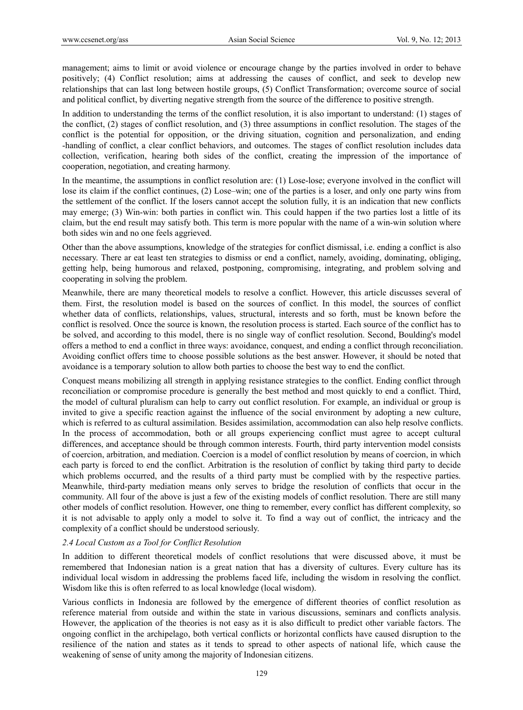management; aims to limit or avoid violence or encourage change by the parties involved in order to behave positively; (4) Conflict resolution; aims at addressing the causes of conflict, and seek to develop new relationships that can last long between hostile groups, (5) Conflict Transformation; overcome source of social and political conflict, by diverting negative strength from the source of the difference to positive strength.

In addition to understanding the terms of the conflict resolution, it is also important to understand: (1) stages of the conflict, (2) stages of conflict resolution, and (3) three assumptions in conflict resolution. The stages of the conflict is the potential for opposition, or the driving situation, cognition and personalization, and ending -handling of conflict, a clear conflict behaviors, and outcomes. The stages of conflict resolution includes data collection, verification, hearing both sides of the conflict, creating the impression of the importance of cooperation, negotiation, and creating harmony.

In the meantime, the assumptions in conflict resolution are: (1) Lose-lose; everyone involved in the conflict will lose its claim if the conflict continues, (2) Lose–win; one of the parties is a loser, and only one party wins from the settlement of the conflict. If the losers cannot accept the solution fully, it is an indication that new conflicts may emerge; (3) Win-win: both parties in conflict win. This could happen if the two parties lost a little of its claim, but the end result may satisfy both. This term is more popular with the name of a win-win solution where both sides win and no one feels aggrieved.

Other than the above assumptions, knowledge of the strategies for conflict dismissal, i.e. ending a conflict is also necessary. There ar eat least ten strategies to dismiss or end a conflict, namely, avoiding, dominating, obliging, getting help, being humorous and relaxed, postponing, compromising, integrating, and problem solving and cooperating in solving the problem.

Meanwhile, there are many theoretical models to resolve a conflict. However, this article discusses several of them. First, the resolution model is based on the sources of conflict. In this model, the sources of conflict whether data of conflicts, relationships, values, structural, interests and so forth, must be known before the conflict is resolved. Once the source is known, the resolution process is started. Each source of the conflict has to be solved, and according to this model, there is no single way of conflict resolution. Second, Boulding's model offers a method to end a conflict in three ways: avoidance, conquest, and ending a conflict through reconciliation. Avoiding conflict offers time to choose possible solutions as the best answer. However, it should be noted that avoidance is a temporary solution to allow both parties to choose the best way to end the conflict.

Conquest means mobilizing all strength in applying resistance strategies to the conflict. Ending conflict through reconciliation or compromise procedure is generally the best method and most quickly to end a conflict. Third, the model of cultural pluralism can help to carry out conflict resolution. For example, an individual or group is invited to give a specific reaction against the influence of the social environment by adopting a new culture, which is referred to as cultural assimilation. Besides assimilation, accommodation can also help resolve conflicts. In the process of accommodation, both or all groups experiencing conflict must agree to accept cultural differences, and acceptance should be through common interests. Fourth, third party intervention model consists of coercion, arbitration, and mediation. Coercion is a model of conflict resolution by means of coercion, in which each party is forced to end the conflict. Arbitration is the resolution of conflict by taking third party to decide which problems occurred, and the results of a third party must be complied with by the respective parties. Meanwhile, third-party mediation means only serves to bridge the resolution of conflicts that occur in the community. All four of the above is just a few of the existing models of conflict resolution. There are still many other models of conflict resolution. However, one thing to remember, every conflict has different complexity, so it is not advisable to apply only a model to solve it. To find a way out of conflict, the intricacy and the complexity of a conflict should be understood seriously.

## *2.4 Local Custom as a Tool for Conflict Resolution*

In addition to different theoretical models of conflict resolutions that were discussed above, it must be remembered that Indonesian nation is a great nation that has a diversity of cultures. Every culture has its individual local wisdom in addressing the problems faced life, including the wisdom in resolving the conflict. Wisdom like this is often referred to as local knowledge (local wisdom).

Various conflicts in Indonesia are followed by the emergence of different theories of conflict resolution as reference material from outside and within the state in various discussions, seminars and conflicts analysis. However, the application of the theories is not easy as it is also difficult to predict other variable factors. The ongoing conflict in the archipelago, both vertical conflicts or horizontal conflicts have caused disruption to the resilience of the nation and states as it tends to spread to other aspects of national life, which cause the weakening of sense of unity among the majority of Indonesian citizens.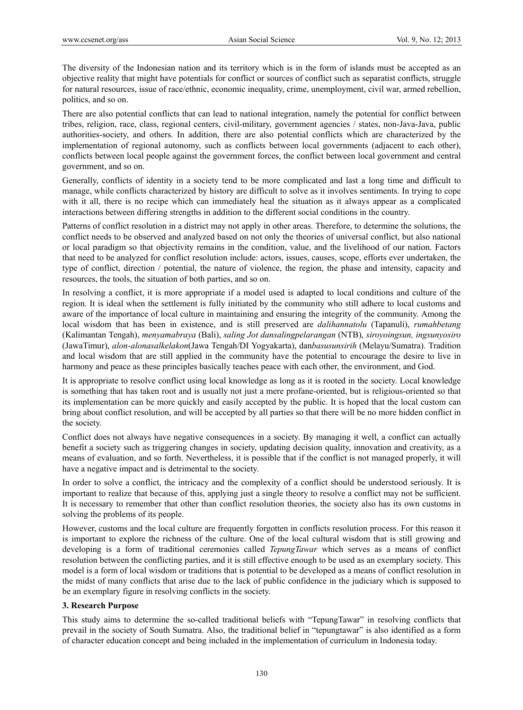The diversity of the Indonesian nation and its territory which is in the form of islands must be accepted as an objective reality that might have potentials for conflict or sources of conflict such as separatist conflicts, struggle for natural resources, issue of race/ethnic, economic inequality, crime, unemployment, civil war, armed rebellion, politics, and so on.

There are also potential conflicts that can lead to national integration, namely the potential for conflict between tribes, religion, race, class, regional centers, civil-military, government agencies / states, non-Java-Java, public authorities-society, and others. In addition, there are also potential conflicts which are characterized by the implementation of regional autonomy, such as conflicts between local governments (adjacent to each other), conflicts between local people against the government forces, the conflict between local government and central government, and so on.

Generally, conflicts of identity in a society tend to be more complicated and last a long time and difficult to manage, while conflicts characterized by history are difficult to solve as it involves sentiments. In trying to cope with it all, there is no recipe which can immediately heal the situation as it always appear as a complicated interactions between differing strengths in addition to the different social conditions in the country.

Patterns of conflict resolution in a district may not apply in other areas. Therefore, to determine the solutions, the conflict needs to be observed and analyzed based on not only the theories of universal conflict, but also national or local paradigm so that objectivity remains in the condition, value, and the livelihood of our nation. Factors that need to be analyzed for conflict resolution include: actors, issues, causes, scope, efforts ever undertaken, the type of conflict, direction / potential, the nature of violence, the region, the phase and intensity, capacity and resources, the tools, the situation of both parties, and so on.

In resolving a conflict, it is more appropriate if a model used is adapted to local conditions and culture of the region. It is ideal when the settlement is fully initiated by the community who still adhere to local customs and aware of the importance of local culture in maintaining and ensuring the integrity of the community. Among the local wisdom that has been in existence, and is still preserved are *dalihannatolu* (Tapanuli), *rumahbetang* (Kalimantan Tengah), *menyamabraya* (Bali), *saling Jot dansalingpelarangan* (NTB), *siroyoingsun, ingsunyosiro* (JawaTimur), *alon-alonasalkelakon*(Jawa Tengah/DI Yogyakarta), dan*basusunsirih* (Melayu/Sumatra). Tradition and local wisdom that are still applied in the community have the potential to encourage the desire to live in harmony and peace as these principles basically teaches peace with each other, the environment, and God.

It is appropriate to resolve conflict using local knowledge as long as it is rooted in the society. Local knowledge is something that has taken root and is usually not just a mere profane-oriented, but is religious-oriented so that its implementation can be more quickly and easily accepted by the public. It is hoped that the local custom can bring about conflict resolution, and will be accepted by all parties so that there will be no more hidden conflict in the society.

Conflict does not always have negative consequences in a society. By managing it well, a conflict can actually benefit a society such as triggering changes in society, updating decision quality, innovation and creativity, as a means of evaluation, and so forth. Nevertheless, it is possible that if the conflict is not managed properly, it will have a negative impact and is detrimental to the society.

In order to solve a conflict, the intricacy and the complexity of a conflict should be understood seriously. It is important to realize that because of this, applying just a single theory to resolve a conflict may not be sufficient. It is necessary to remember that other than conflict resolution theories, the society also has its own customs in solving the problems of its people.

However, customs and the local culture are frequently forgotten in conflicts resolution process. For this reason it is important to explore the richness of the culture. One of the local cultural wisdom that is still growing and developing is a form of traditional ceremonies called *TepungTawar* which serves as a means of conflict resolution between the conflicting parties, and it is still effective enough to be used as an exemplary society. This model is a form of local wisdom or traditions that is potential to be developed as a means of conflict resolution in the midst of many conflicts that arise due to the lack of public confidence in the judiciary which is supposed to be an exemplary figure in resolving conflicts in the society.

## **3. Research Purpose**

This study aims to determine the so-called traditional beliefs with "TepungTawar" in resolving conflicts that prevail in the society of South Sumatra. Also, the traditional belief in "tepungtawar" is also identified as a form of character education concept and being included in the implementation of curriculum in Indonesia today.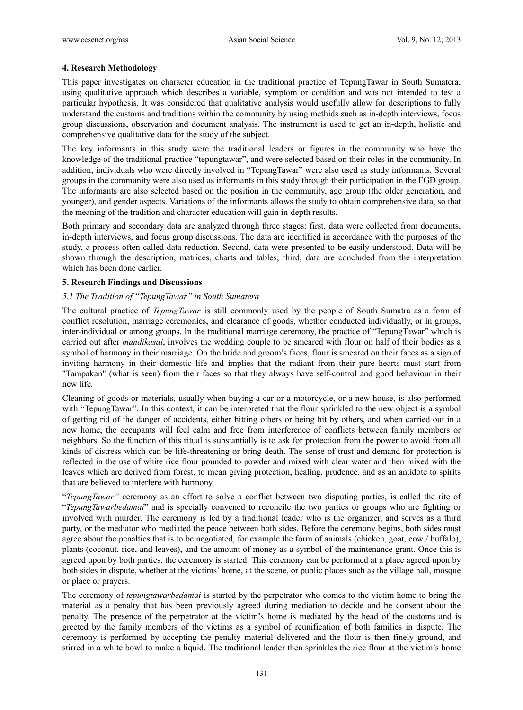## **4. Research Methodology**

This paper investigates on character education in the traditional practice of TepungTawar in South Sumatera, using qualitative approach which describes a variable, symptom or condition and was not intended to test a particular hypothesis. It was considered that qualitative analysis would usefully allow for descriptions to fully understand the customs and traditions within the community by using methids such as in-depth interviews, focus group discussions, observation and document analysis. The instrument is used to get an in-depth, holistic and comprehensive qualitative data for the study of the subject.

The key informants in this study were the traditional leaders or figures in the community who have the knowledge of the traditional practice "tepungtawar", and were selected based on their roles in the community. In addition, individuals who were directly involved in "TepungTawar" were also used as study informants. Several groups in the community were also used as informants in this study through their participation in the FGD group. The informants are also selected based on the position in the community, age group (the older generation, and younger), and gender aspects. Variations of the informants allows the study to obtain comprehensive data, so that the meaning of the tradition and character education will gain in-depth results.

Both primary and secondary data are analyzed through three stages: first, data were collected from documents, in-depth interviews, and focus group discussions. The data are identified in accordance with the purposes of the study, a process often called data reduction. Second, data were presented to be easily understood. Data will be shown through the description, matrices, charts and tables; third, data are concluded from the interpretation which has been done earlier.

## **5. Research Findings and Discussions**

## *5.1 The Tradition of "TepungTawar" in South Sumatera*

The cultural practice of *TepungTawar* is still commonly used by the people of South Sumatra as a form of conflict resolution, marriage ceremonies, and clearance of goods, whether conducted individually, or in groups, inter-individual or among groups. In the traditional marriage ceremony, the practice of "TepungTawar" which is carried out after *mandikasai*, involves the wedding couple to be smeared with flour on half of their bodies as a symbol of harmony in their marriage. On the bride and groom's faces, flour is smeared on their faces as a sign of inviting harmony in their domestic life and implies that the radiant from their pure hearts must start from "Tampakan" (what is seen) from their faces so that they always have self-control and good behaviour in their new life.

Cleaning of goods or materials, usually when buying a car or a motorcycle, or a new house, is also performed with "TepungTawar". In this context, it can be interpreted that the flour sprinkled to the new object is a symbol of getting rid of the danger of accidents, either hitting others or being hit by others, and when carried out in a new home, the occupants will feel calm and free from interference of conflicts between family members or neighbors. So the function of this ritual is substantially is to ask for protection from the power to avoid from all kinds of distress which can be life-threatening or bring death. The sense of trust and demand for protection is reflected in the use of white rice flour pounded to powder and mixed with clear water and then mixed with the leaves which are derived from forest, to mean giving protection, healing, prudence, and as an antidote to spirits that are believed to interfere with harmony.

"*TepungTawar"* ceremony as an effort to solve a conflict between two disputing parties, is called the rite of "*TepungTawarbedamai*" and is specially convened to reconcile the two parties or groups who are fighting or involved with murder. The ceremony is led by a traditional leader who is the organizer, and serves as a third party, or the mediator who mediated the peace between both sides. Before the ceremony begins, both sides must agree about the penalties that is to be negotiated, for example the form of animals (chicken, goat, cow / buffalo), plants (coconut, rice, and leaves), and the amount of money as a symbol of the maintenance grant. Once this is agreed upon by both parties, the ceremony is started. This ceremony can be performed at a place agreed upon by both sides in dispute, whether at the victims' home, at the scene, or public places such as the village hall, mosque or place or prayers.

The ceremony of *tepungtawarbedamai* is started by the perpetrator who comes to the victim home to bring the material as a penalty that has been previously agreed during mediation to decide and be consent about the penalty. The presence of the perpetrator at the victim's home is mediated by the head of the customs and is greeted by the family members of the victims as a symbol of reunification of both families in dispute. The ceremony is performed by accepting the penalty material delivered and the flour is then finely ground, and stirred in a white bowl to make a liquid. The traditional leader then sprinkles the rice flour at the victim's home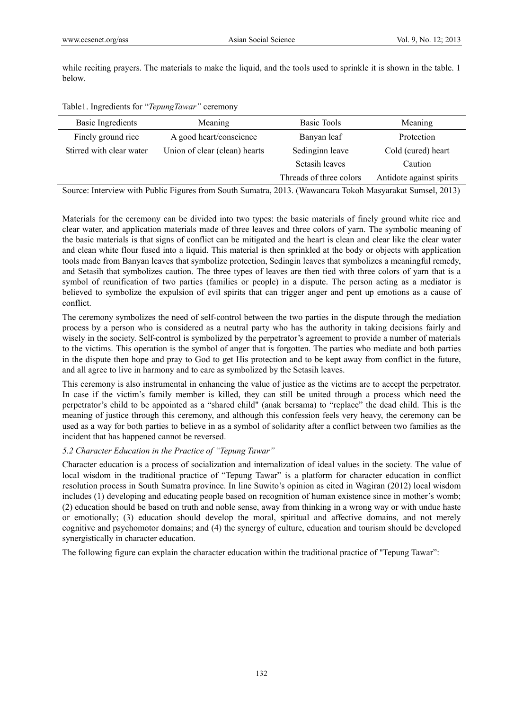while reciting prayers. The materials to make the liquid, and the tools used to sprinkle it is shown in the table. 1 below.

#### Table1. Ingredients for "*TepungTawar"* ceremony

| Basic Ingredients        | Meaning                       | Basic Tools             | Meaning                  |
|--------------------------|-------------------------------|-------------------------|--------------------------|
| Finely ground rice       | A good heart/conscience       | Banyan leaf             | Protection               |
| Stirred with clear water | Union of clear (clean) hearts | Sedinginn leave         | Cold (cured) heart       |
|                          |                               | Setasih leaves          | Caution                  |
|                          |                               | Threads of three colors | Antidote against spirits |
|                          |                               |                         |                          |

Source: Interview with Public Figures from South Sumatra, 2013. (Wawancara Tokoh Masyarakat Sumsel, 2013)

Materials for the ceremony can be divided into two types: the basic materials of finely ground white rice and clear water, and application materials made of three leaves and three colors of yarn. The symbolic meaning of the basic materials is that signs of conflict can be mitigated and the heart is clean and clear like the clear water and clean white flour fused into a liquid. This material is then sprinkled at the body or objects with application tools made from Banyan leaves that symbolize protection, Sedingin leaves that symbolizes a meaningful remedy, and Setasih that symbolizes caution. The three types of leaves are then tied with three colors of yarn that is a symbol of reunification of two parties (families or people) in a dispute. The person acting as a mediator is believed to symbolize the expulsion of evil spirits that can trigger anger and pent up emotions as a cause of conflict.

The ceremony symbolizes the need of self-control between the two parties in the dispute through the mediation process by a person who is considered as a neutral party who has the authority in taking decisions fairly and wisely in the society. Self-control is symbolized by the perpetrator's agreement to provide a number of materials to the victims. This operation is the symbol of anger that is forgotten. The parties who mediate and both parties in the dispute then hope and pray to God to get His protection and to be kept away from conflict in the future, and all agree to live in harmony and to care as symbolized by the Setasih leaves.

This ceremony is also instrumental in enhancing the value of justice as the victims are to accept the perpetrator. In case if the victim's family member is killed, they can still be united through a process which need the perpetrator's child to be appointed as a "shared child" (anak bersama) to "replace" the dead child. This is the meaning of justice through this ceremony, and although this confession feels very heavy, the ceremony can be used as a way for both parties to believe in as a symbol of solidarity after a conflict between two families as the incident that has happened cannot be reversed.

#### *5.2 Character Education in the Practice of "Tepung Tawar"*

Character education is a process of socialization and internalization of ideal values in the society. The value of local wisdom in the traditional practice of "Tepung Tawar" is a platform for character education in conflict resolution process in South Sumatra province. In line Suwito's opinion as cited in Wagiran (2012) local wisdom includes (1) developing and educating people based on recognition of human existence since in mother's womb; (2) education should be based on truth and noble sense, away from thinking in a wrong way or with undue haste or emotionally; (3) education should develop the moral, spiritual and affective domains, and not merely cognitive and psychomotor domains; and (4) the synergy of culture, education and tourism should be developed synergistically in character education.

The following figure can explain the character education within the traditional practice of "Tepung Tawar":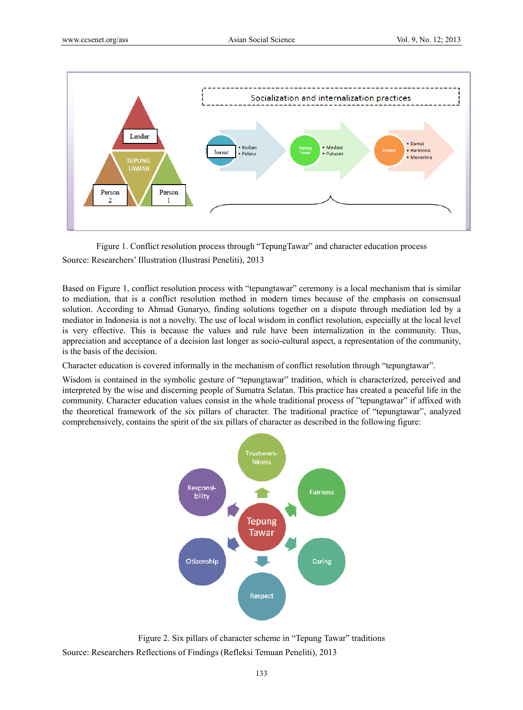

Figure 1. Conflict resolution process through "TepungTawar" and character education process Source: Researchers' Illustration (Ilustrasi Peneliti), 2013

Based on Figure 1, conflict resolution process with "tepungtawar" ceremony is a local mechanism that is similar to mediation, that is a conflict resolution method in modern times because of the emphasis on consensual solution. According to Ahmad Gunaryo, finding solutions together on a dispute through mediation led by a mediator in Indonesia is not a novelty. The use of local wisdom in conflict resolution, especially at the local level is very effective. This is because the values and rule have been internalization in the community. Thus, appreciation and acceptance of a decision last longer as socio-cultural aspect, a representation of the community, is the basis of the decision.

Character education is covered informally in the mechanism of conflict resolution through "tepungtawar".

Wisdom is contained in the symbolic gesture of "tepungtawar" tradition, which is characterized, perceived and interpreted by the wise and discerning people of Sumatra Selatan. This practice has created a peaceful life in the community. Character education values consist in the whole traditional process of "tepungtawar" if affixed with the theoretical framework of the six pillars of character. The traditional practice of "tepungtawar", analyzed comprehensively, contains the spirit of the six pillars of character as described in the following figure:



Figure 2. Six pillars of character scheme in "Tepung Tawar" traditions Source: Researchers Reflections of Findings (Refleksi Temuan Peneliti), 2013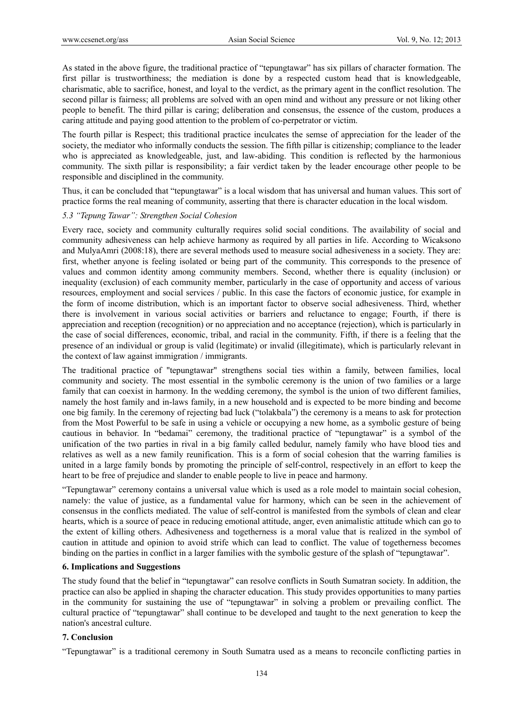As stated in the above figure, the traditional practice of "tepungtawar" has six pillars of character formation. The first pillar is trustworthiness; the mediation is done by a respected custom head that is knowledgeable, charismatic, able to sacrifice, honest, and loyal to the verdict, as the primary agent in the conflict resolution. The second pillar is fairness; all problems are solved with an open mind and without any pressure or not liking other people to benefit. The third pillar is caring; deliberation and consensus, the essence of the custom, produces a caring attitude and paying good attention to the problem of co-perpetrator or victim.

The fourth pillar is Respect; this traditional practice inculcates the semse of appreciation for the leader of the society, the mediator who informally conducts the session. The fifth pillar is citizenship; compliance to the leader who is appreciated as knowledgeable, just, and law-abiding. This condition is reflected by the harmonious community. The sixth pillar is responsibility; a fair verdict taken by the leader encourage other people to be responsible and disciplined in the community.

Thus, it can be concluded that "tepungtawar" is a local wisdom that has universal and human values. This sort of practice forms the real meaning of community, asserting that there is character education in the local wisdom.

#### *5.3 "Tepung Tawar": Strengthen Social Cohesion*

Every race, society and community culturally requires solid social conditions. The availability of social and community adhesiveness can help achieve harmony as required by all parties in life. According to Wicaksono and MulyaAmri (2008:18), there are several methods used to measure social adhesiveness in a society. They are: first, whether anyone is feeling isolated or being part of the community. This corresponds to the presence of values and common identity among community members. Second, whether there is equality (inclusion) or inequality (exclusion) of each community member, particularly in the case of opportunity and access of various resources, employment and social services / public. In this case the factors of economic justice, for example in the form of income distribution, which is an important factor to observe social adhesiveness. Third, whether there is involvement in various social activities or barriers and reluctance to engage; Fourth, if there is appreciation and reception (recognition) or no appreciation and no acceptance (rejection), which is particularly in the case of social differences, economic, tribal, and racial in the community. Fifth, if there is a feeling that the presence of an individual or group is valid (legitimate) or invalid (illegitimate), which is particularly relevant in the context of law against immigration / immigrants.

The traditional practice of "tepungtawar" strengthens social ties within a family, between families, local community and society. The most essential in the symbolic ceremony is the union of two families or a large family that can coexist in harmony. In the wedding ceremony, the symbol is the union of two different families, namely the host family and in-laws family, in a new household and is expected to be more binding and become one big family. In the ceremony of rejecting bad luck ("tolakbala") the ceremony is a means to ask for protection from the Most Powerful to be safe in using a vehicle or occupying a new home, as a symbolic gesture of being cautious in behavior. In "bedamai" ceremony, the traditional practice of "tepungtawar" is a symbol of the unification of the two parties in rival in a big family called bedulur, namely family who have blood ties and relatives as well as a new family reunification. This is a form of social cohesion that the warring families is united in a large family bonds by promoting the principle of self-control, respectively in an effort to keep the heart to be free of prejudice and slander to enable people to live in peace and harmony.

"Tepungtawar" ceremony contains a universal value which is used as a role model to maintain social cohesion, namely: the value of justice, as a fundamental value for harmony, which can be seen in the achievement of consensus in the conflicts mediated. The value of self-control is manifested from the symbols of clean and clear hearts, which is a source of peace in reducing emotional attitude, anger, even animalistic attitude which can go to the extent of killing others. Adhesiveness and togetherness is a moral value that is realized in the symbol of caution in attitude and opinion to avoid strife which can lead to conflict. The value of togetherness becomes binding on the parties in conflict in a larger families with the symbolic gesture of the splash of "tepungtawar".

#### **6. Implications and Suggestions**

The study found that the belief in "tepungtawar" can resolve conflicts in South Sumatran society. In addition, the practice can also be applied in shaping the character education. This study provides opportunities to many parties in the community for sustaining the use of "tepungtawar" in solving a problem or prevailing conflict. The cultural practice of "tepungtawar" shall continue to be developed and taught to the next generation to keep the nation's ancestral culture.

#### **7. Conclusion**

"Tepungtawar" is a traditional ceremony in South Sumatra used as a means to reconcile conflicting parties in